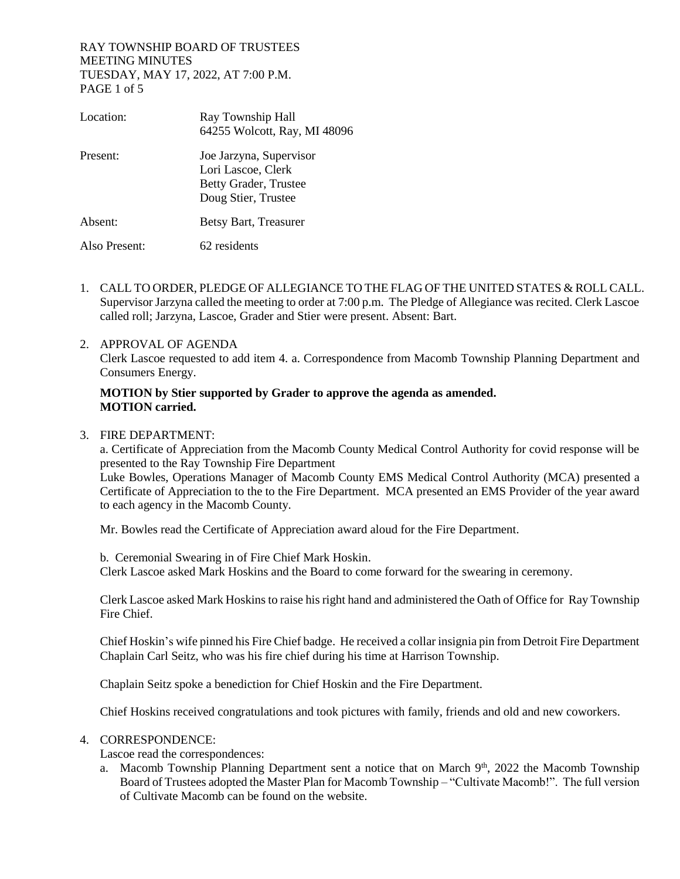## RAY TOWNSHIP BOARD OF TRUSTEES MEETING MINUTES TUESDAY, MAY 17, 2022, AT 7:00 P.M. PAGE 1 of 5

| Location:     | Ray Township Hall<br>64255 Wolcott, Ray, MI 48096                                             |
|---------------|-----------------------------------------------------------------------------------------------|
| Present:      | Joe Jarzyna, Supervisor<br>Lori Lascoe, Clerk<br>Betty Grader, Trustee<br>Doug Stier, Trustee |
| Absent:       | Betsy Bart, Treasurer                                                                         |
| Also Present: | 62 residents                                                                                  |

- 1. CALL TO ORDER, PLEDGE OF ALLEGIANCE TO THE FLAG OF THE UNITED STATES & ROLL CALL. Supervisor Jarzyna called the meeting to order at 7:00 p.m. The Pledge of Allegiance was recited. Clerk Lascoe called roll; Jarzyna, Lascoe, Grader and Stier were present. Absent: Bart.
- 2. APPROVAL OF AGENDA Clerk Lascoe requested to add item 4. a. Correspondence from Macomb Township Planning Department and Consumers Energy.

## **MOTION by Stier supported by Grader to approve the agenda as amended. MOTION carried.**

3. FIRE DEPARTMENT:

a. Certificate of Appreciation from the Macomb County Medical Control Authority for covid response will be presented to the Ray Township Fire Department

Luke Bowles, Operations Manager of Macomb County EMS Medical Control Authority (MCA) presented a Certificate of Appreciation to the to the Fire Department. MCA presented an EMS Provider of the year award to each agency in the Macomb County.

Mr. Bowles read the Certificate of Appreciation award aloud for the Fire Department.

b. Ceremonial Swearing in of Fire Chief Mark Hoskin. Clerk Lascoe asked Mark Hoskins and the Board to come forward for the swearing in ceremony.

Clerk Lascoe asked Mark Hoskins to raise his right hand and administered the Oath of Office for Ray Township Fire Chief.

Chief Hoskin's wife pinned his Fire Chief badge. He received a collar insignia pin from Detroit Fire Department Chaplain Carl Seitz, who was his fire chief during his time at Harrison Township.

Chaplain Seitz spoke a benediction for Chief Hoskin and the Fire Department.

Chief Hoskins received congratulations and took pictures with family, friends and old and new coworkers.

#### 4. CORRESPONDENCE:

Lascoe read the correspondences:

a. Macomb Township Planning Department sent a notice that on March 9<sup>th</sup>, 2022 the Macomb Township Board of Trustees adopted the Master Plan for Macomb Township – "Cultivate Macomb!". The full version of Cultivate Macomb can be found on the website.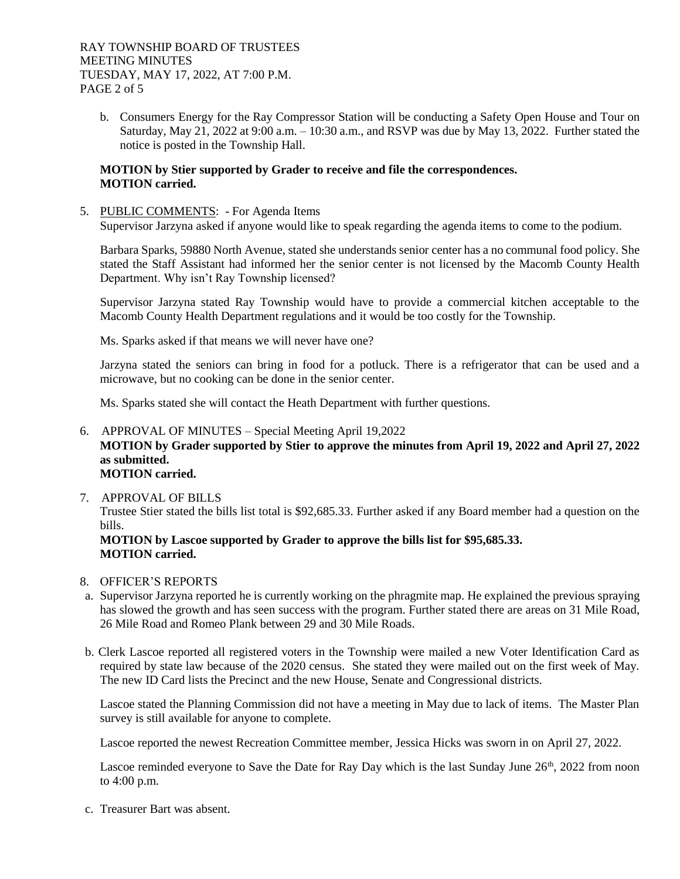b. Consumers Energy for the Ray Compressor Station will be conducting a Safety Open House and Tour on Saturday, May 21, 2022 at 9:00 a.m. – 10:30 a.m., and RSVP was due by May 13, 2022. Further stated the notice is posted in the Township Hall.

#### **MOTION by Stier supported by Grader to receive and file the correspondences. MOTION carried.**

5. PUBLIC COMMENTS: - For Agenda Items

Supervisor Jarzyna asked if anyone would like to speak regarding the agenda items to come to the podium.

Barbara Sparks, 59880 North Avenue, stated she understands senior center has a no communal food policy. She stated the Staff Assistant had informed her the senior center is not licensed by the Macomb County Health Department. Why isn't Ray Township licensed?

Supervisor Jarzyna stated Ray Township would have to provide a commercial kitchen acceptable to the Macomb County Health Department regulations and it would be too costly for the Township.

Ms. Sparks asked if that means we will never have one?

Jarzyna stated the seniors can bring in food for a potluck. There is a refrigerator that can be used and a microwave, but no cooking can be done in the senior center.

Ms. Sparks stated she will contact the Heath Department with further questions.

- 6. APPROVAL OF MINUTES Special Meeting April 19,2022 **MOTION by Grader supported by Stier to approve the minutes from April 19, 2022 and April 27, 2022 as submitted. MOTION carried.**
- 7. APPROVAL OF BILLS

Trustee Stier stated the bills list total is \$92,685.33. Further asked if any Board member had a question on the bills.

**MOTION by Lascoe supported by Grader to approve the bills list for \$95,685.33. MOTION carried.**

- 8. OFFICER'S REPORTS
- a. Supervisor Jarzyna reported he is currently working on the phragmite map. He explained the previous spraying has slowed the growth and has seen success with the program. Further stated there are areas on 31 Mile Road, 26 Mile Road and Romeo Plank between 29 and 30 Mile Roads.
- b. Clerk Lascoe reported all registered voters in the Township were mailed a new Voter Identification Card as required by state law because of the 2020 census. She stated they were mailed out on the first week of May. The new ID Card lists the Precinct and the new House, Senate and Congressional districts.

Lascoe stated the Planning Commission did not have a meeting in May due to lack of items. The Master Plan survey is still available for anyone to complete.

Lascoe reported the newest Recreation Committee member, Jessica Hicks was sworn in on April 27, 2022.

Lascoe reminded everyone to Save the Date for Ray Day which is the last Sunday June 26<sup>th</sup>, 2022 from noon to 4:00 p.m.

c. Treasurer Bart was absent.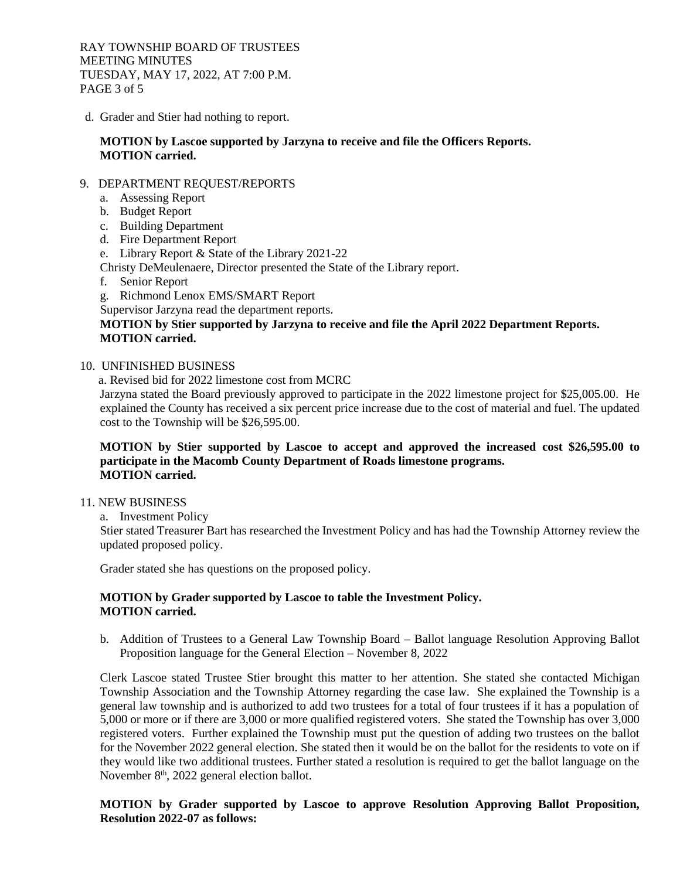RAY TOWNSHIP BOARD OF TRUSTEES MEETING MINUTES TUESDAY, MAY 17, 2022, AT 7:00 P.M. PAGE 3 of 5

d. Grader and Stier had nothing to report.

## **MOTION by Lascoe supported by Jarzyna to receive and file the Officers Reports. MOTION carried.**

## 9. DEPARTMENT REQUEST/REPORTS

- a. Assessing Report
- b. Budget Report
- c. Building Department
- d. Fire Department Report
- e. Library Report & State of the Library 2021-22
- Christy DeMeulenaere, Director presented the State of the Library report.
- f. Senior Report
- g. Richmond Lenox EMS/SMART Report
- Supervisor Jarzyna read the department reports.

# **MOTION by Stier supported by Jarzyna to receive and file the April 2022 Department Reports. MOTION carried.**

- 10. UNFINISHED BUSINESS
	- a. Revised bid for 2022 limestone cost from MCRC

Jarzyna stated the Board previously approved to participate in the 2022 limestone project for \$25,005.00. He explained the County has received a six percent price increase due to the cost of material and fuel. The updated cost to the Township will be \$26,595.00.

## **MOTION by Stier supported by Lascoe to accept and approved the increased cost \$26,595.00 to participate in the Macomb County Department of Roads limestone programs. MOTION carried.**

## 11. NEW BUSINESS

a. Investment Policy

Stier stated Treasurer Bart has researched the Investment Policy and has had the Township Attorney review the updated proposed policy.

Grader stated she has questions on the proposed policy.

## **MOTION by Grader supported by Lascoe to table the Investment Policy. MOTION carried.**

b. Addition of Trustees to a General Law Township Board – Ballot language Resolution Approving Ballot Proposition language for the General Election – November 8, 2022

Clerk Lascoe stated Trustee Stier brought this matter to her attention. She stated she contacted Michigan Township Association and the Township Attorney regarding the case law. She explained the Township is a general law township and is authorized to add two trustees for a total of four trustees if it has a population of 5,000 or more or if there are 3,000 or more qualified registered voters. She stated the Township has over 3,000 registered voters. Further explained the Township must put the question of adding two trustees on the ballot for the November 2022 general election. She stated then it would be on the ballot for the residents to vote on if they would like two additional trustees. Further stated a resolution is required to get the ballot language on the November 8<sup>th</sup>, 2022 general election ballot.

**MOTION by Grader supported by Lascoe to approve Resolution Approving Ballot Proposition, Resolution 2022-07 as follows:**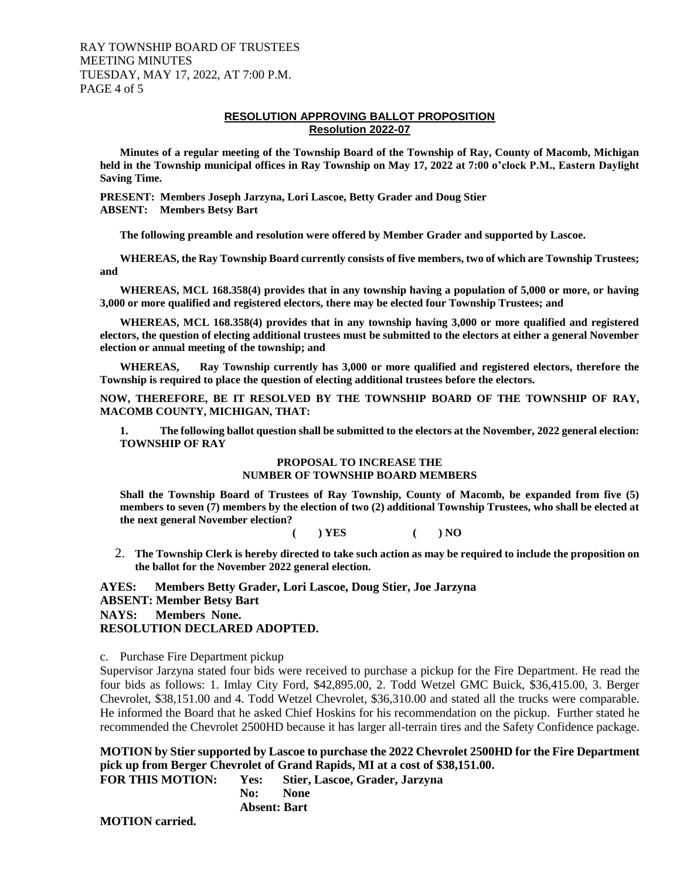#### RAY TOWNSHIP BOARD OF TRUSTEES MEETING MINUTES TUESDAY, MAY 17, 2022, AT 7:00 P.M. PAGE 4 of 5

#### **RESOLUTION APPROVING BALLOT PROPOSITION Resolution 2022-07**

**Minutes of a regular meeting of the Township Board of the Township of Ray, County of Macomb, Michigan held in the Township municipal offices in Ray Township on May 17, 2022 at 7:00 o'clock P.M., Eastern Daylight Saving Time.**

**PRESENT: Members Joseph Jarzyna, Lori Lascoe, Betty Grader and Doug Stier ABSENT: Members Betsy Bart** 

**The following preamble and resolution were offered by Member Grader and supported by Lascoe.**

**WHEREAS, the Ray Township Board currently consists of five members, two of which are Township Trustees; and**

**WHEREAS, MCL 168.358(4) provides that in any township having a population of 5,000 or more, or having 3,000 or more qualified and registered electors, there may be elected four Township Trustees; and**

**WHEREAS, MCL 168.358(4) provides that in any township having 3,000 or more qualified and registered electors, the question of electing additional trustees must be submitted to the electors at either a general November election or annual meeting of the township; and**

**WHEREAS, Ray Township currently has 3,000 or more qualified and registered electors, therefore the Township is required to place the question of electing additional trustees before the electors.**

**NOW, THEREFORE, BE IT RESOLVED BY THE TOWNSHIP BOARD OF THE TOWNSHIP OF RAY, MACOMB COUNTY, MICHIGAN, THAT:**

**1. The following ballot question shall be submitted to the electors at the November, 2022 general election: TOWNSHIP OF RAY**

#### **PROPOSAL TO INCREASE THE NUMBER OF TOWNSHIP BOARD MEMBERS**

**Shall the Township Board of Trustees of Ray Township, County of Macomb, be expanded from five (5) members to seven (7) members by the election of two (2) additional Township Trustees, who shall be elected at the next general November election?**

**( ) YES ( ) NO**

2. **The Township Clerk is hereby directed to take such action as may be required to include the proposition on the ballot for the November 2022 general election.**

**AYES: Members Betty Grader, Lori Lascoe, Doug Stier, Joe Jarzyna ABSENT: Member Betsy Bart NAYS: Members None. RESOLUTION DECLARED ADOPTED.**

c. Purchase Fire Department pickup

Supervisor Jarzyna stated four bids were received to purchase a pickup for the Fire Department. He read the four bids as follows: 1. Imlay City Ford, \$42,895.00, 2. Todd Wetzel GMC Buick, \$36,415.00, 3. Berger Chevrolet, \$38,151.00 and 4. Todd Wetzel Chevrolet, \$36,310.00 and stated all the trucks were comparable. He informed the Board that he asked Chief Hoskins for his recommendation on the pickup. Further stated he recommended the Chevrolet 2500HD because it has larger all-terrain tires and the Safety Confidence package.

**MOTION by Stier supported by Lascoe to purchase the 2022 Chevrolet 2500HD for the Fire Department pick up from Berger Chevrolet of Grand Rapids, MI at a cost of \$38,151.00.** 

**FOR THIS MOTION: Yes: Stier, Lascoe, Grader, Jarzyna No: None Absent: Bart**

**MOTION carried.**